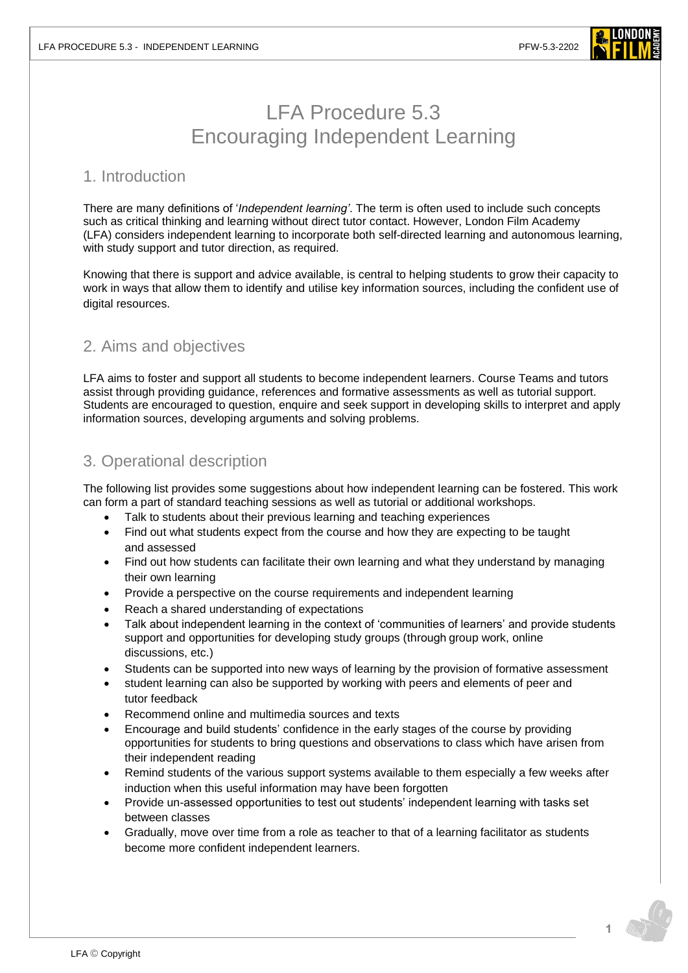

## LFA Procedure 5.3 Encouraging Independent Learning

## 1. Introduction

There are many definitions of '*Independent learning'*. The term is often used to include such concepts such as critical thinking and learning without direct tutor contact. However, London Film Academy (LFA) considers independent learning to incorporate both self-directed learning and autonomous learning, with study support and tutor direction, as required.

Knowing that there is support and advice available, is central to helping students to grow their capacity to work in ways that allow them to identify and utilise key information sources, including the confident use of digital resources.

## 2. Aims and objectives

LFA aims to foster and support all students to become independent learners. Course Teams and tutors assist through providing guidance, references and formative assessments as well as tutorial support. Students are encouraged to question, enquire and seek support in developing skills to interpret and apply information sources, developing arguments and solving problems.

## 3. Operational description

The following list provides some suggestions about how independent learning can be fostered. This work can form a part of standard teaching sessions as well as tutorial or additional workshops.

- Talk to students about their previous learning and teaching experiences
- Find out what students expect from the course and how they are expecting to be taught and assessed
- Find out how students can facilitate their own learning and what they understand by managing their own learning
- Provide a perspective on the course requirements and independent learning
- Reach a shared understanding of expectations
- Talk about independent learning in the context of 'communities of learners' and provide students support and opportunities for developing study groups (throug[h group work,](http://www.heacademy.ac.uk/ourwork/teachingandlearning/internationalisation/alldisplay?type=resources&newid=ourwork/internationalisation/ISL_Group_Work&site=york) online discussions, etc.)
- Students can be supported into new ways of learning by the provision of formative assessment
- student learning can also be supported by working with peers and elements of peer and tutor feedback
- Recommend online and multimedia sources and texts
- Encourage and build students' confidence in the early stages of the course by providing opportunities for students to bring questions and observations to class which have arisen from their independent reading
- Remind students of the various support systems available to them especially a few weeks after induction when this useful information may have been forgotten
- Provide un-assessed opportunities to test out students' independent learning with tasks set between classes
- Gradually, move over time from a role as teacher to that of a learning facilitator as students become more confident independent learners.